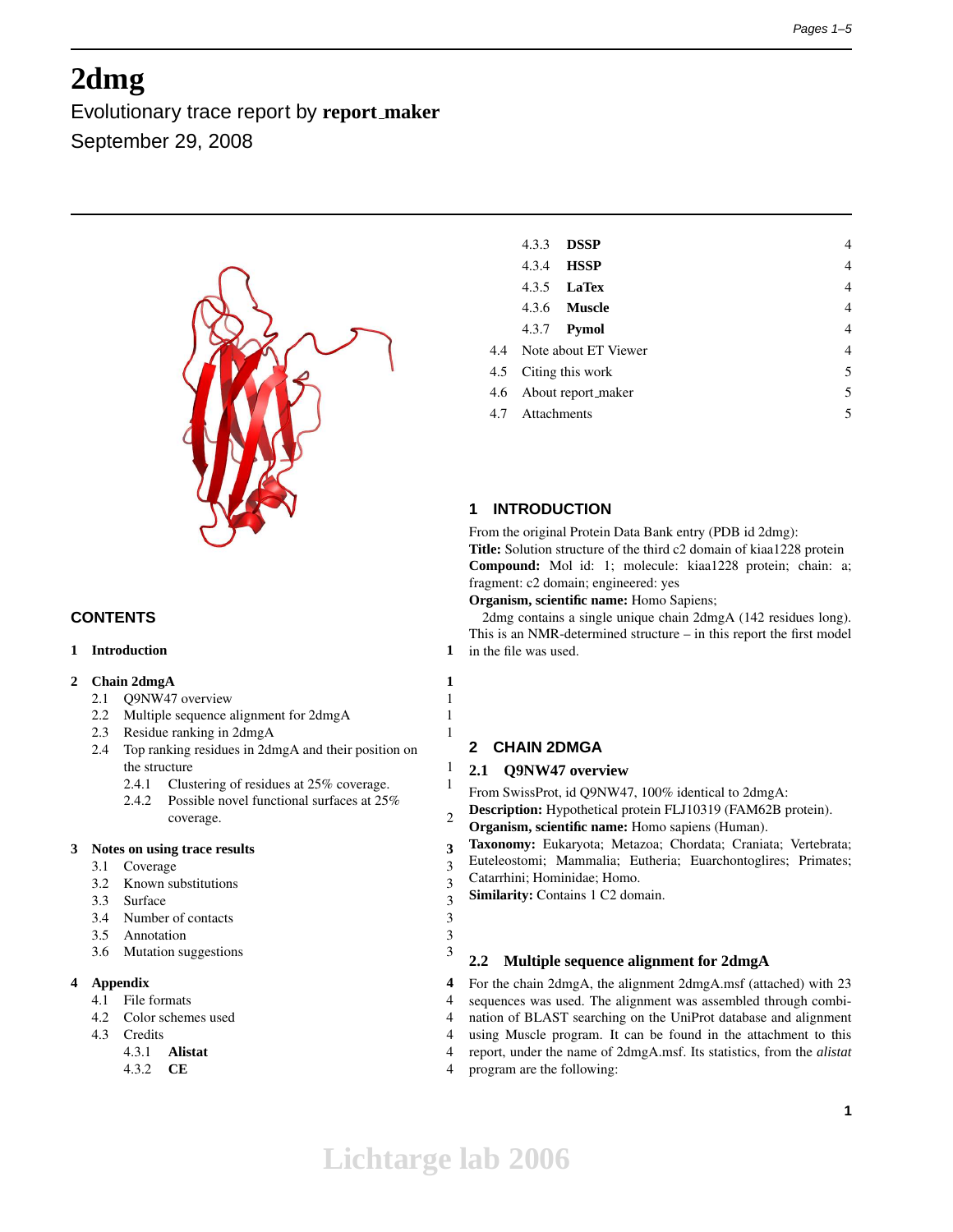# **2dmg**

Evolutionary trace report by **report maker** September 29, 2008



# **CONTENTS**

# **1 Introduction 1**

# **2 Chain 2dmgA 1**

- 2.1 Q9NW47 overview 1
- 2.2 Multiple sequence alignment for 2dmgA 1
- 2.3 Residue ranking in 2dmgA 1
- 2.4 Top ranking residues in 2dmgA and their position on the structure 1
	- 2.4.1 Clustering of residues at  $25\%$  coverage. 1
	- 2.4.2 Possible novel functional surfaces at 25% coverage. 2

# **3 Notes on using trace results 3**

- 3.1 Coverage 3
- 3.2 Known substitutions 3
- 3.3 Surface 3
- 3.4 Number of contacts 3
- 3.5 Annotation 3
- 3.6 Mutation suggestions 3

# **4 Appendix 4**

- 4.1 File formats 4
- 4.2 Color schemes used 4
- 4.3 Credits 4
	- 4.3.1 **Alistat** 4
	- 4.3.2 **CE** 4

| 4.3.3           | <b>DSSP</b>              | 4 |
|-----------------|--------------------------|---|
|                 | 4.3.4 <b>HSSP</b>        | 4 |
|                 | 4.3.5 <b>LaTex</b>       | 4 |
|                 | 4.3.6 <b>Muscle</b>      | 4 |
|                 | 4.3.7 Pymol              | 4 |
|                 | 4.4 Note about ET Viewer | 4 |
|                 | 4.5 Citing this work     | 5 |
|                 | 4.6 About report_maker   | 5 |
| 4.7 Attachments |                          | 5 |
|                 |                          |   |

# **1 INTRODUCTION**

From the original Protein Data Bank entry (PDB id 2dmg):

**Title:** Solution structure of the third c2 domain of kiaa1228 protein **Compound:** Mol id: 1; molecule: kiaa1228 protein; chain: a; fragment: c2 domain; engineered: yes

**Organism, scientific name:** Homo Sapiens;

2dmg contains a single unique chain 2dmgA (142 residues long). This is an NMR-determined structure – in this report the first model in the file was used.

# **2 CHAIN 2DMGA**

# **2.1 Q9NW47 overview**

From SwissProt, id Q9NW47, 100% identical to 2dmgA:

- **Description:** Hypothetical protein FLJ10319 (FAM62B protein).
- **Organism, scientific name:** Homo sapiens (Human).
- **Taxonomy:** Eukaryota; Metazoa; Chordata; Craniata; Vertebrata;
- Euteleostomi; Mammalia; Eutheria; Euarchontoglires; Primates;
- Catarrhini; Hominidae; Homo.
- **Similarity:** Contains 1 C2 domain.

# **2.2 Multiple sequence alignment for 2dmgA**

For the chain 2dmgA, the alignment 2dmgA.msf (attached) with 23 sequences was used. The alignment was assembled through combination of BLAST searching on the UniProt database and alignment using Muscle program. It can be found in the attachment to this report, under the name of 2dmgA.msf. Its statistics, from the *alistat* program are the following: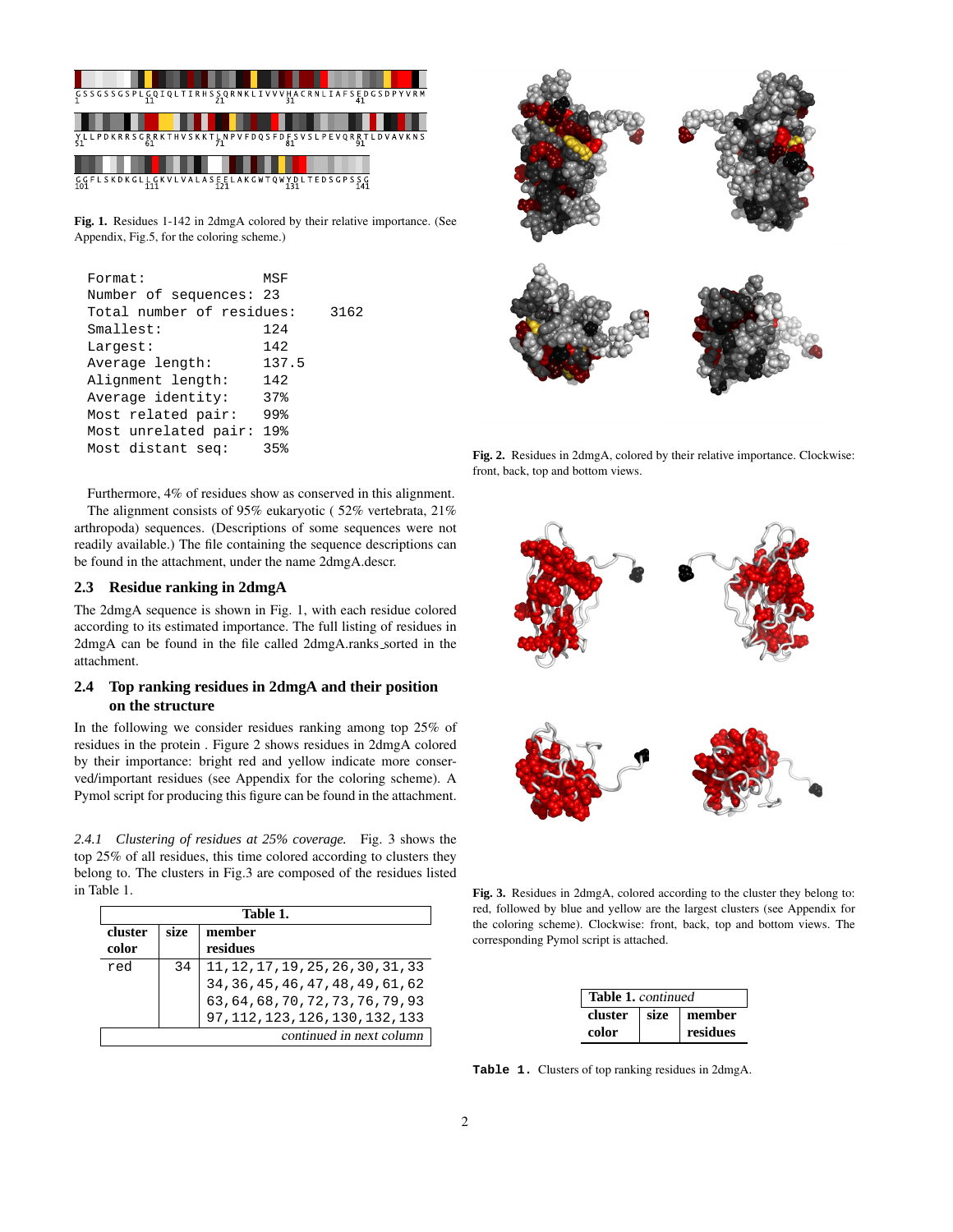

**Fig. 1.** Residues 1-142 in 2dmgA colored by their relative importance. (See Appendix, Fig.5, for the coloring scheme.)

| Format:                   | MSF   |      |
|---------------------------|-------|------|
| Number of sequences: 23   |       |      |
| Total number of residues: |       | 3162 |
| Smallest:                 | 124   |      |
| Largest:                  | 142   |      |
| Average length:           | 137.5 |      |
| Alignment length:         | 142   |      |
| Average identity:         | 37%   |      |
| Most related pair:        | 99%   |      |
| Most unrelated pair:      | 19%   |      |
| Most distant seq:         | 35%   |      |
|                           |       |      |

Furthermore, 4% of residues show as conserved in this alignment. The alignment consists of 95% eukaryotic ( 52% vertebrata, 21% arthropoda) sequences. (Descriptions of some sequences were not readily available.) The file containing the sequence descriptions can be found in the attachment, under the name 2dmgA.descr.

## **2.3 Residue ranking in 2dmgA**

The 2dmgA sequence is shown in Fig. 1, with each residue colored according to its estimated importance. The full listing of residues in 2dmgA can be found in the file called 2dmgA.ranks sorted in the attachment.

# **2.4 Top ranking residues in 2dmgA and their position on the structure**

In the following we consider residues ranking among top 25% of residues in the protein . Figure 2 shows residues in 2dmgA colored by their importance: bright red and yellow indicate more conserved/important residues (see Appendix for the coloring scheme). A Pymol script for producing this figure can be found in the attachment.

*2.4.1 Clustering of residues at 25% coverage.* Fig. 3 shows the top 25% of all residues, this time colored according to clusters they belong to. The clusters in Fig.3 are composed of the residues listed in Table 1.

| Table 1.                 |      |                                                                                                                |  |
|--------------------------|------|----------------------------------------------------------------------------------------------------------------|--|
| cluster                  | size | member                                                                                                         |  |
| color                    |      | residues                                                                                                       |  |
| red                      | 34   |                                                                                                                |  |
|                          |      | 11, 12, 17, 19, 25, 26, 30, 31, 33<br>34, 36, 45, 46, 47, 48, 49, 61, 62<br>63, 64, 68, 70, 72, 73, 76, 79, 93 |  |
|                          |      |                                                                                                                |  |
|                          |      | 97, 112, 123, 126, 130, 132, 133                                                                               |  |
| continued in next column |      |                                                                                                                |  |



**Fig. 2.** Residues in 2dmgA, colored by their relative importance. Clockwise: front, back, top and bottom views.



**Fig. 3.** Residues in 2dmgA, colored according to the cluster they belong to: red, followed by blue and yellow are the largest clusters (see Appendix for the coloring scheme). Clockwise: front, back, top and bottom views. The corresponding Pymol script is attached.

| <b>Table 1.</b> continued |  |                         |  |
|---------------------------|--|-------------------------|--|
|                           |  | cluster   size   member |  |
| color                     |  | residues                |  |

**Table 1.** Clusters of top ranking residues in 2dmgA.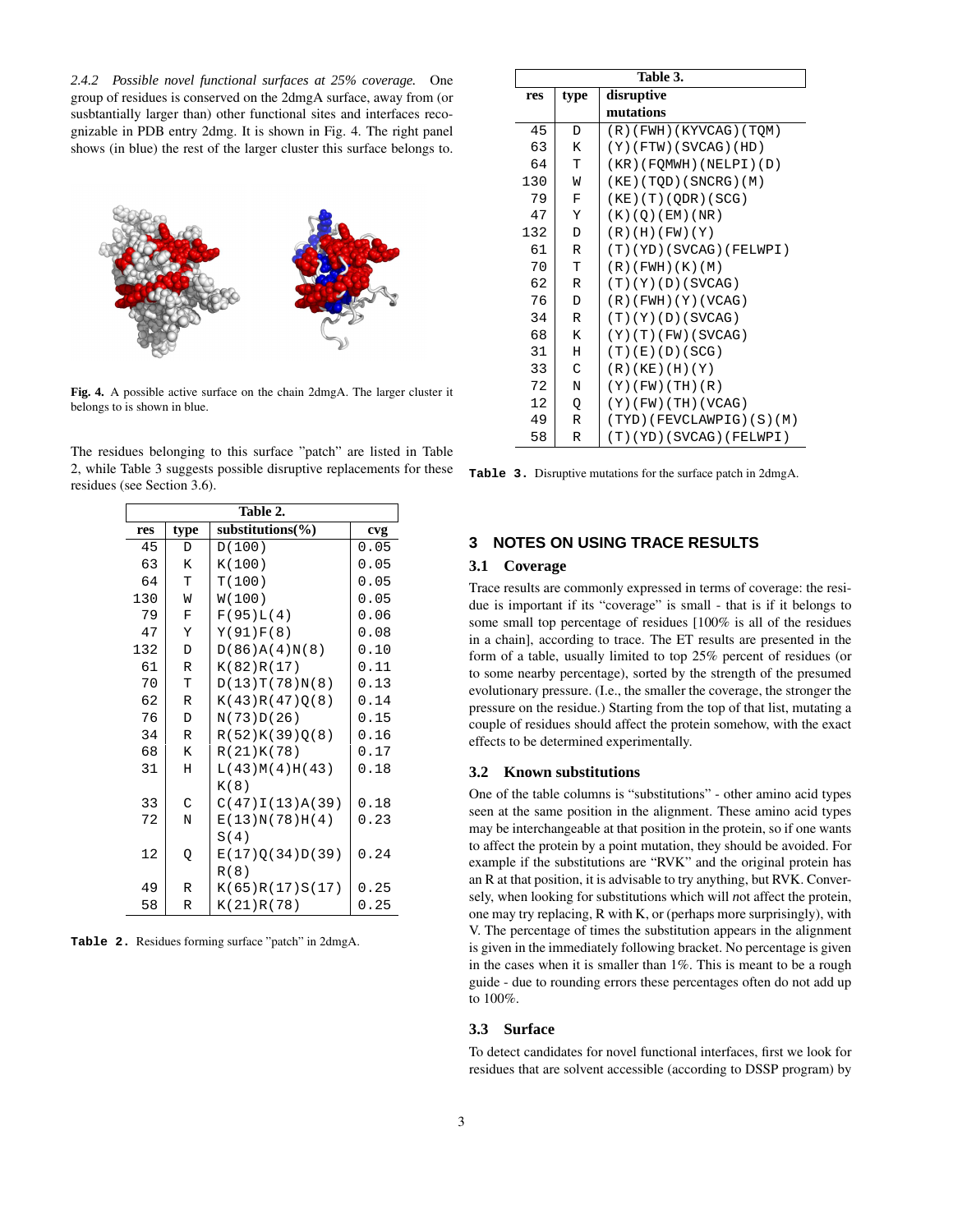*2.4.2 Possible novel functional surfaces at 25% coverage.* One group of residues is conserved on the 2dmgA surface, away from (or susbtantially larger than) other functional sites and interfaces recognizable in PDB entry 2dmg. It is shown in Fig. 4. The right panel shows (in blue) the rest of the larger cluster this surface belongs to.



**Fig. 4.** A possible active surface on the chain 2dmgA. The larger cluster it belongs to is shown in blue.

The residues belonging to this surface "patch" are listed in Table 2, while Table 3 suggests possible disruptive replacements for these residues (see Section 3.6).

| Table 2. |              |                       |      |
|----------|--------------|-----------------------|------|
| res      | type         | substitutions( $\%$ ) | cvg  |
| 45       | D            | D(100)                | 0.05 |
| 63       | K            | K(100)                | 0.05 |
| 64       | T            | T(100)                | 0.05 |
| 130      | W            | W(100)                | 0.05 |
| 79       | $\mathbf F$  | F(95)L(4)             | 0.06 |
| 47       | Y            | Y(91)F(8)             | 0.08 |
| 132      | D            | D(86)A(4)N(8)         | 0.10 |
| 61       | $\mathbb R$  | K(82)R(17)            | 0.11 |
| 70       | T            | D(13)T(78)N(8)        | 0.13 |
| 62       | $\mathbb{R}$ | K(43)R(47)Q(8)        | 0.14 |
| 76       | D            | N(73)D(26)            | 0.15 |
| 34       | $\mathbb R$  | R(52)K(39)Q(8)        | 0.16 |
| 68       | K            | R(21)K(78)            | 0.17 |
| 31       | Η            | L(43)M(4)H(43)        | 0.18 |
|          |              | K(8)                  |      |
| 33       | C            | C(47)I(13)A(39)       | 0.18 |
| 72       | N            | E(13)N(78)H(4)        | 0.23 |
|          |              | S(4)                  |      |
| 12       | Q            | E(17)Q(34)D(39)       | 0.24 |
|          |              | R(8)                  |      |
| 49       | $\mathbb R$  | K(65)R(17)S(17)       | 0.25 |
| 58       | R            | K(21)R(78)            | 0.25 |

**Table 2.** Residues forming surface "patch" in 2dmgA.

| Table 3. |                    |                          |  |
|----------|--------------------|--------------------------|--|
| res      | disruptive<br>type |                          |  |
|          |                    | mutations                |  |
| 45       | D                  | (R)(FWH)(KYVCAG)(TOM)    |  |
| 63       | K                  | $(Y)$ (FTW) (SVCAG) (HD) |  |
| 64       | T                  | (KR)(FOMWH)(NELPI)(D)    |  |
| 130      | W                  | (KE) (TQD) (SNCRG) (M)   |  |
| 79       | F                  | $(KE)$ (T) (QDR) (SCG)   |  |
| 47       | Υ                  | (K)(Q)(EM)(NR)           |  |
| 132      | D                  | (R)(H)(FW)(Y)            |  |
| 61       | R                  | (T)(YD)(SVCAG)(FELWPI)   |  |
| 70       | T                  | $(R)$ (FWH) $(K)$ (M)    |  |
| 62       | $\mathbb R$        | (T)(Y)(D)(SVCAG)         |  |
| 76       | D                  | (R)(FWH)(Y)(VCAG)        |  |
| 34       | R                  | (T)(Y)(D)(SVCAG)         |  |
| 68       | K                  | (Y)(T)(FW)(SVCAG)        |  |
| 31       | Н                  | (T)(E)(D)(SCG)           |  |
| 33       | C                  | $(R)$ (KE) (H) (Y)       |  |
| 72       | N                  | $(Y)$ (FW) (TH) (R)      |  |
| 12       | Q                  | $(Y)$ (FW) (TH) (VCAG)   |  |
| 49       | R                  | (TYD)(FEVCLAWPIG)(S)(M)  |  |
| 58       | R                  | (T)(YD)(SVCAG)(FELWPI)   |  |

**Table 3.** Disruptive mutations for the surface patch in 2dmgA.

# **3 NOTES ON USING TRACE RESULTS**

## **3.1 Coverage**

Trace results are commonly expressed in terms of coverage: the residue is important if its "coverage" is small - that is if it belongs to some small top percentage of residues [100% is all of the residues in a chain], according to trace. The ET results are presented in the form of a table, usually limited to top 25% percent of residues (or to some nearby percentage), sorted by the strength of the presumed evolutionary pressure. (I.e., the smaller the coverage, the stronger the pressure on the residue.) Starting from the top of that list, mutating a couple of residues should affect the protein somehow, with the exact effects to be determined experimentally.

#### **3.2 Known substitutions**

One of the table columns is "substitutions" - other amino acid types seen at the same position in the alignment. These amino acid types may be interchangeable at that position in the protein, so if one wants to affect the protein by a point mutation, they should be avoided. For example if the substitutions are "RVK" and the original protein has an R at that position, it is advisable to try anything, but RVK. Conversely, when looking for substitutions which will *n*ot affect the protein, one may try replacing, R with K, or (perhaps more surprisingly), with V. The percentage of times the substitution appears in the alignment is given in the immediately following bracket. No percentage is given in the cases when it is smaller than 1%. This is meant to be a rough guide - due to rounding errors these percentages often do not add up to 100%.

#### **3.3 Surface**

To detect candidates for novel functional interfaces, first we look for residues that are solvent accessible (according to DSSP program) by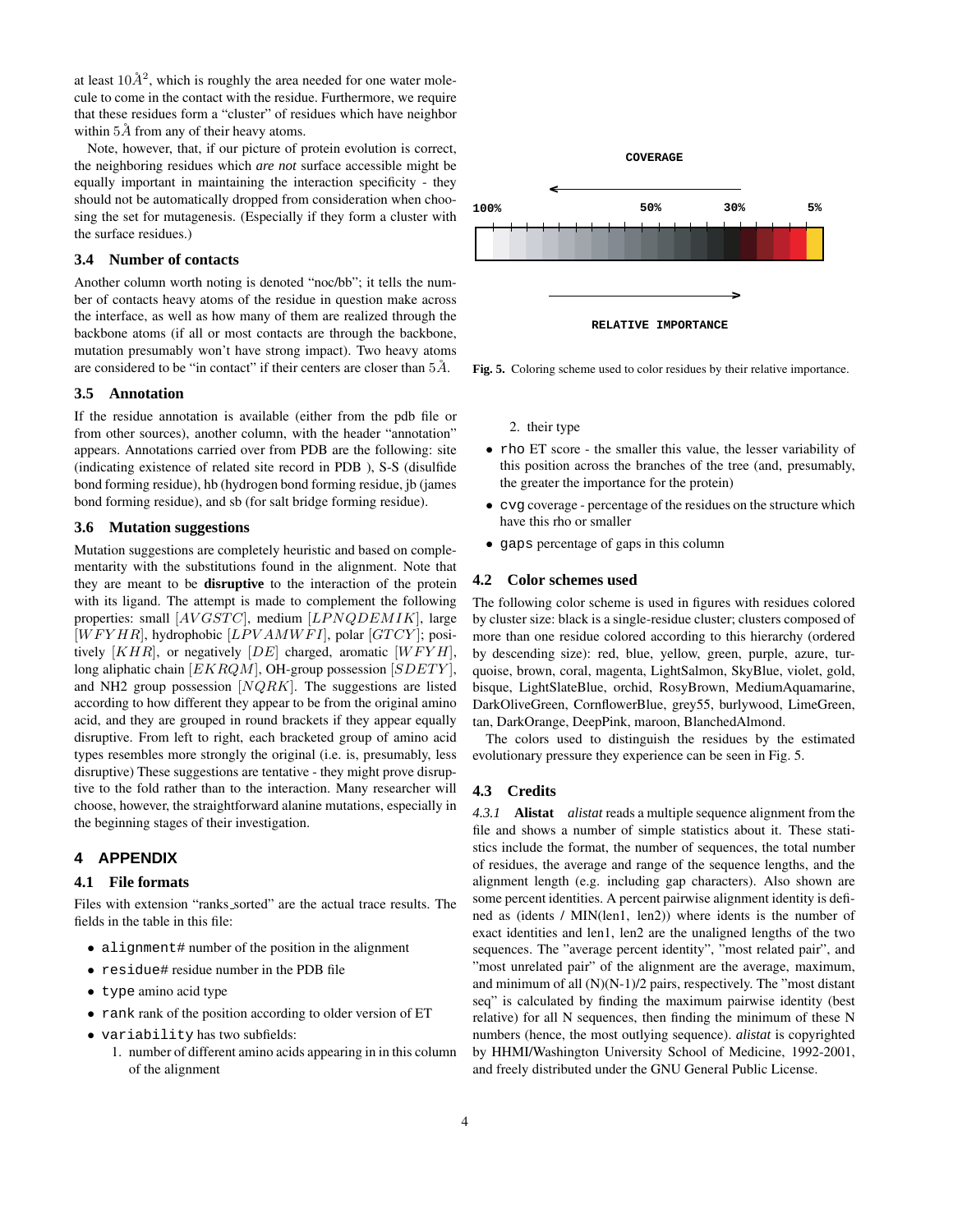at least  $10\AA^2$ , which is roughly the area needed for one water molecule to come in the contact with the residue. Furthermore, we require that these residues form a "cluster" of residues which have neighbor within  $5\AA$  from any of their heavy atoms.

Note, however, that, if our picture of protein evolution is correct, the neighboring residues which *are not* surface accessible might be equally important in maintaining the interaction specificity - they should not be automatically dropped from consideration when choosing the set for mutagenesis. (Especially if they form a cluster with the surface residues.)

### **3.4 Number of contacts**

Another column worth noting is denoted "noc/bb"; it tells the number of contacts heavy atoms of the residue in question make across the interface, as well as how many of them are realized through the backbone atoms (if all or most contacts are through the backbone, mutation presumably won't have strong impact). Two heavy atoms are considered to be "in contact" if their centers are closer than  $5\AA$ .

#### **3.5 Annotation**

If the residue annotation is available (either from the pdb file or from other sources), another column, with the header "annotation" appears. Annotations carried over from PDB are the following: site (indicating existence of related site record in PDB ), S-S (disulfide bond forming residue), hb (hydrogen bond forming residue, jb (james bond forming residue), and sb (for salt bridge forming residue).

#### **3.6 Mutation suggestions**

Mutation suggestions are completely heuristic and based on complementarity with the substitutions found in the alignment. Note that they are meant to be **disruptive** to the interaction of the protein with its ligand. The attempt is made to complement the following properties: small  $[AVGSTC]$ , medium  $[LPNQDEMIK]$ , large  $[WFYHR]$ , hydrophobic  $[LPVAMWFI]$ , polar  $[GTCY]$ ; positively  $[KHR]$ , or negatively  $[DE]$  charged, aromatic  $[WFYH]$ , long aliphatic chain  $[EKRQM]$ , OH-group possession  $[SDETY]$ , and NH2 group possession  $[NQRK]$ . The suggestions are listed according to how different they appear to be from the original amino acid, and they are grouped in round brackets if they appear equally disruptive. From left to right, each bracketed group of amino acid types resembles more strongly the original (i.e. is, presumably, less disruptive) These suggestions are tentative - they might prove disruptive to the fold rather than to the interaction. Many researcher will choose, however, the straightforward alanine mutations, especially in the beginning stages of their investigation.

# **4 APPENDIX**

#### **4.1 File formats**

Files with extension "ranks sorted" are the actual trace results. The fields in the table in this file:

- alignment# number of the position in the alignment
- residue# residue number in the PDB file
- type amino acid type
- rank rank of the position according to older version of ET
- variability has two subfields:
	- 1. number of different amino acids appearing in in this column of the alignment



**Fig. 5.** Coloring scheme used to color residues by their relative importance.

2. their type

- rho ET score the smaller this value, the lesser variability of this position across the branches of the tree (and, presumably, the greater the importance for the protein)
- cvg coverage percentage of the residues on the structure which have this rho or smaller
- gaps percentage of gaps in this column

#### **4.2 Color schemes used**

The following color scheme is used in figures with residues colored by cluster size: black is a single-residue cluster; clusters composed of more than one residue colored according to this hierarchy (ordered by descending size): red, blue, yellow, green, purple, azure, turquoise, brown, coral, magenta, LightSalmon, SkyBlue, violet, gold, bisque, LightSlateBlue, orchid, RosyBrown, MediumAquamarine, DarkOliveGreen, CornflowerBlue, grey55, burlywood, LimeGreen, tan, DarkOrange, DeepPink, maroon, BlanchedAlmond.

The colors used to distinguish the residues by the estimated evolutionary pressure they experience can be seen in Fig. 5.

#### **4.3 Credits**

*4.3.1* **Alistat** *alistat* reads a multiple sequence alignment from the file and shows a number of simple statistics about it. These statistics include the format, the number of sequences, the total number of residues, the average and range of the sequence lengths, and the alignment length (e.g. including gap characters). Also shown are some percent identities. A percent pairwise alignment identity is defined as (idents / MIN(len1, len2)) where idents is the number of exact identities and len1, len2 are the unaligned lengths of the two sequences. The "average percent identity", "most related pair", and "most unrelated pair" of the alignment are the average, maximum, and minimum of all (N)(N-1)/2 pairs, respectively. The "most distant seq" is calculated by finding the maximum pairwise identity (best relative) for all N sequences, then finding the minimum of these N numbers (hence, the most outlying sequence). *alistat* is copyrighted by HHMI/Washington University School of Medicine, 1992-2001, and freely distributed under the GNU General Public License.